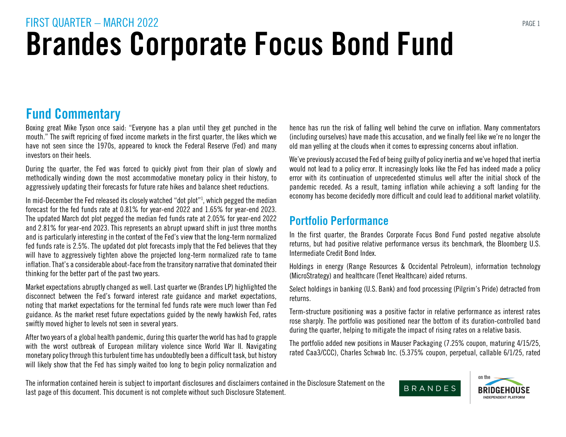#### Fund Commentary

Boxing great Mike Tyson once said: "Everyone has a plan until they get punched in the mouth." The swift repricing of fixed income markets in the first quarter, the likes which we have not seen since the 1970s, appeared to knock the Federal Reserve (Fed) and many investors on their heels.

During the quarter, the Fed was forced to quickly pivot from their plan of slowly and methodically winding down the most accommodative monetary policy in their history, to aggressively updating their forecasts for future rate hikes and balance sheet reductions.

In mid-December the Fed released its closely watched "dot plot"1 , which pegged the median forecast for the fed funds rate at 0.81% for year-end 2022 and 1.65% for year-end 2023. The updated March dot plot pegged the median fed funds rate at 2.05% for year-end 2022 and 2.81% for year-end 2023. This represents an abrupt upward shift in just three months and is particularly interesting in the context of the Fed's view that the long-term normalized fed funds rate is 2.5%. The updated dot plot forecasts imply that the Fed believes that they will have to aggressively tighten above the projected long-term normalized rate to tame inflation. That's a considerable about-face from the transitory narrative that dominated their thinking for the better part of the past two years.

Market expectations abruptly changed as well. Last quarter we (Brandes LP) highlighted the disconnect between the Fed's forward interest rate guidance and market expectations, noting that market expectations for the terminal fed funds rate were much lower than Fed guidance. As the market reset future expectations guided by the newly hawkish Fed, rates swiftly moved higher to levels not seen in several years.

After two years of a global health pandemic, during this quarter the world has had to grapple with the worst outbreak of European military violence since World War II. Navigating monetary policy through this turbulent time has undoubtedly been a difficult task, but history will likely show that the Fed has simply waited too long to begin policy normalization and hence has run the risk of falling well behind the curve on inflation. Many commentators (including ourselves) have made this accusation, and we finally feel like we're no longer the old man yelling at the clouds when it comes to expressing concerns about inflation.

We've previously accused the Fed of being guilty of policy inertia and we've hoped that inertia would not lead to a policy error. It increasingly looks like the Fed has indeed made a policy error with its continuation of unprecedented stimulus well after the initial shock of the pandemic receded. As a result, taming inflation while achieving a soft landing for the economy has become decidedly more difficult and could lead to additional market volatility.

#### Portfolio Performance

In the first quarter, the Brandes Corporate Focus Bond Fund posted negative absolute returns, but had positive relative performance versus its benchmark, the Bloomberg U.S. Intermediate Credit Bond Index.

Holdings in energy (Range Resources & Occidental Petroleum), information technology (MicroStrategy) and healthcare (Tenet Healthcare) aided returns.

Select holdings in banking (U.S. Bank) and food processing (Pilgrim's Pride) detracted from returns.

Term-structure positioning was a positive factor in relative performance as interest rates rose sharply. The portfolio was positioned near the bottom of its duration-controlled band during the quarter, helping to mitigate the impact of rising rates on a relative basis.

The portfolio added new positions in Mauser Packaging (7.25% coupon, maturing 4/15/25, rated Caa3/CCC), Charles Schwab Inc. (5.375% coupon, perpetual, callable 6/1/25, rated

The information contained herein is subject to important disclosures and disclaimers contained in the Disclosure Statement on the last page of this document. This document is not complete without such Disclosure Statement.

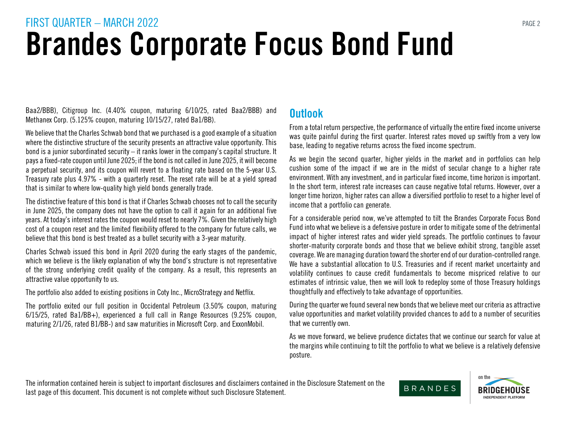Baa2/BBB), Citigroup Inc. (4.40% coupon, maturing 6/10/25, rated Baa2/BBB) and Methanex Corp. (5.125% coupon, maturing 10/15/27, rated Ba1/BB).

We believe that the Charles Schwab bond that we purchased is a good example of a situation where the distinctive structure of the security presents an attractive value opportunity. This bond is a junior subordinated security – it ranks lower in the company's capital structure. It pays a fixed-rate coupon until June 2025; if the bond is not called in June 2025, it will become a perpetual security, and its coupon will revert to a floating rate based on the 5-year U.S. Treasury rate plus 4.97% - with a quarterly reset. The reset rate will be at a yield spread that is similar to where low-quality high yield bonds generally trade.

The distinctive feature of this bond is that if Charles Schwab chooses not to call the security in June 2025, the company does not have the option to call it again for an additional five years. At today's interest rates the coupon would reset to nearly 7%. Given the relatively high cost of a coupon reset and the limited flexibility offered to the company for future calls, we believe that this bond is best treated as a bullet security with a 3-year maturity.

Charles Schwab issued this bond in April 2020 during the early stages of the pandemic, which we believe is the likely explanation of why the bond's structure is not representative of the strong underlying credit quality of the company. As a result, this represents an attractive value opportunity to us.

The portfolio also added to existing positions in Coty Inc., MicroStrategy and Netflix.

The portfolio exited our full position in Occidental Petroleum (3.50% coupon, maturing 6/15/25, rated Ba1/BB+), experienced a full call in Range Resources (9.25% coupon, maturing 2/1/26, rated B1/BB-) and saw maturities in Microsoft Corp. and ExxonMobil.

#### **Outlook**

From a total return perspective, the performance of virtually the entire fixed income universe was quite painful during the first quarter. Interest rates moved up swiftly from a very low base, leading to negative returns across the fixed income spectrum.

As we begin the second quarter, higher yields in the market and in portfolios can help cushion some of the impact if we are in the midst of secular change to a higher rate environment. With any investment, and in particular fixed income, time horizon is important. In the short term, interest rate increases can cause negative total returns. However, over a longer time horizon, higher rates can allow a diversified portfolio to reset to a higher level of income that a portfolio can generate.

For a considerable period now, we've attempted to tilt the Brandes Corporate Focus Bond Fund into what we believe is a defensive posture in order to mitigate some of the detrimental impact of higher interest rates and wider yield spreads. The portfolio continues to favour shorter-maturity corporate bonds and those that we believe exhibit strong, tangible asset coverage. We are managing duration toward the shorter end of our duration-controlled range. We have a substantial allocation to U.S. Treasuries and if recent market uncertainty and volatility continues to cause credit fundamentals to become mispriced relative to our estimates of intrinsic value, then we will look to redeploy some of those Treasury holdings thoughtfully and effectively to take advantage of opportunities.

During the quarter we found several new bonds that we believe meet our criteria as attractive value opportunities and market volatility provided chances to add to a number of securities that we currently own.

As we move forward, we believe prudence dictates that we continue our search for value at the margins while continuing to tilt the portfolio to what we believe is a relatively defensive posture.

The information contained herein is subject to important disclosures and disclaimers contained in the Disclosure Statement on the last page of this document. This document is not complete without such Disclosure Statement.

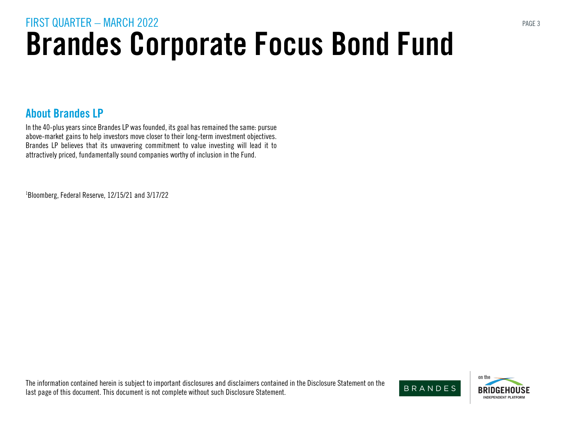#### About Brandes LP

In the 40-plus years since Brandes LP was founded, its goal has remained the same: pursue above-market gains to help investors move closer to their long-term investment objectives. Brandes LP believes that its unwavering commitment to value investing will lead it to attractively priced, fundamentally sound companies worthy of inclusion in the Fund.

1 Bloomberg, Federal Reserve, 12/15/21 and 3/17/22

The information contained herein is subject to important disclosures and disclaimers contained in the Disclosure Statement on the last page of this document. This document is not complete without such Disclosure Statement.

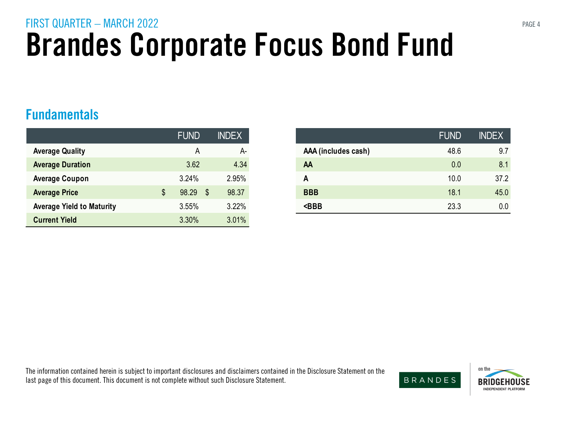#### Fundamentals

|                                  | <b>FUND</b> | <b>INDEX</b> |
|----------------------------------|-------------|--------------|
| <b>Average Quality</b>           | Α           | A-           |
| <b>Average Duration</b>          | 3.62        | 4.34         |
| <b>Average Coupon</b>            | 3.24%       | 2.95%        |
| <b>Average Price</b>             | 98.29       | \$<br>98.37  |
| <b>Average Yield to Maturity</b> | 3.55%       | 3.22%        |
| <b>Current Yield</b>             | 3.30%       | 3.01%        |

| <b>FUND</b> |                            | <b>INDEX</b> |                     | <b>FUND</b> | <b>INDEX</b> |
|-------------|----------------------------|--------------|---------------------|-------------|--------------|
| A           |                            | A-           | AAA (includes cash) | 48.6        | 9.7          |
| 3.62        |                            | 4.34         | AA                  | 0.0         | 8.1          |
| 3.24%       |                            | 2.95%        | A                   | 10.0        | 37.2         |
| 98.29       | $\boldsymbol{\mathsf{\$}}$ | 98.37        | <b>BBB</b>          | 18.1        | 45.0         |
| 3.55%       |                            | 3.22%        | $<$ BBB             | 23.3        | 0.0          |

The information contained herein is subject to important disclosures and disclaimers contained in the Disclosure Statement on the last page of this document. This document is not complete without such Disclosure Statement.



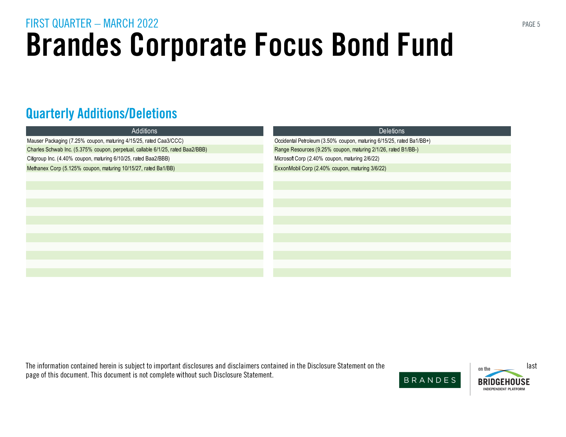### Quarterly Additions/Deletions

| Additions                                                                       | <b>Deletions</b>                                                     |  |  |
|---------------------------------------------------------------------------------|----------------------------------------------------------------------|--|--|
| Mauser Packaging (7.25% coupon, maturing 4/15/25, rated Caa3/CCC)               | Occidental Petroleum (3.50% coupon, maturing 6/15/25, rated Ba1/BB+) |  |  |
| Charles Schwab Inc. (5.375% coupon, perpetual, callable 6/1/25, rated Baa2/BBB) | Range Resources (9.25% coupon, maturing 2/1/26, rated B1/BB-)        |  |  |
| Citigroup Inc. (4.40% coupon, maturing 6/10/25, rated Baa2/BBB)                 | Microsoft Corp (2.40% coupon, maturing 2/6/22)                       |  |  |
| Methanex Corp (5.125% coupon, maturing 10/15/27, rated Ba1/BB)                  | ExxonMobil Corp (2.40% coupon, maturing 3/6/22)                      |  |  |
|                                                                                 |                                                                      |  |  |
|                                                                                 |                                                                      |  |  |
|                                                                                 |                                                                      |  |  |
|                                                                                 |                                                                      |  |  |
|                                                                                 |                                                                      |  |  |
|                                                                                 |                                                                      |  |  |
|                                                                                 |                                                                      |  |  |
|                                                                                 |                                                                      |  |  |
|                                                                                 |                                                                      |  |  |
|                                                                                 |                                                                      |  |  |
|                                                                                 |                                                                      |  |  |
|                                                                                 |                                                                      |  |  |

The information contained herein is subject to important disclosures and disclaimers contained in the Disclosure Statement on the last page of this document. This document is not complete without such Disclosure Statement.